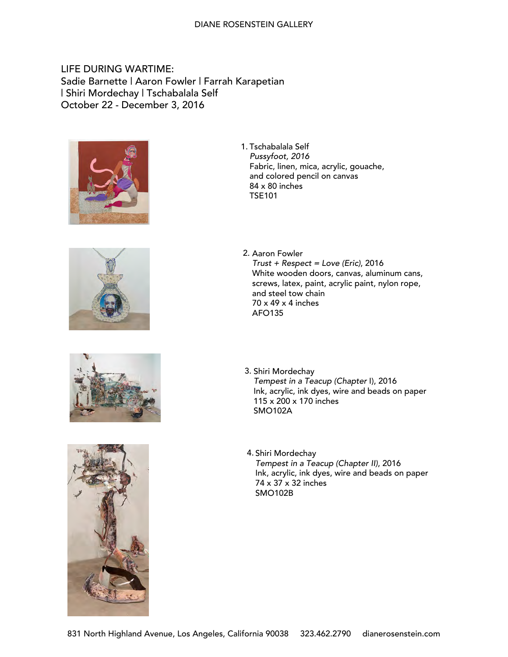# LIFE DURING WARTIME: Sadie Barnette | Aaron Fowler | Farrah Karapetian | Shiri Mordechay | Tschabalala Self October 22 - December 3, 2016









1. Tschabalala Self Pussyfoot, 2016 Fabric, linen, mica, acrylic, gouache, and colored pencil on canvas 84 x 80 inches TSE101

- 2. Aaron Fowler  $Trust + Respect = Love (Eric), 2016$ White wooden doors, canvas, aluminum cans, screws, latex, paint, acrylic paint, nylon rope, and steel tow chain 70 x 49 x 4 inches AFO135
- 3. Shiri Mordechay Tempest in a Teacup (Chapter I), 2016 Ink, acrylic, ink dyes, wire and beads on paper 115 x 200 x 170 inches SMO102A
- 4. Shiri Mordechay Tempest in a Teacup (Chapter II), 2016 Ink, acrylic, ink dyes, wire and beads on paper 74 x 37 x 32 inches SMO102B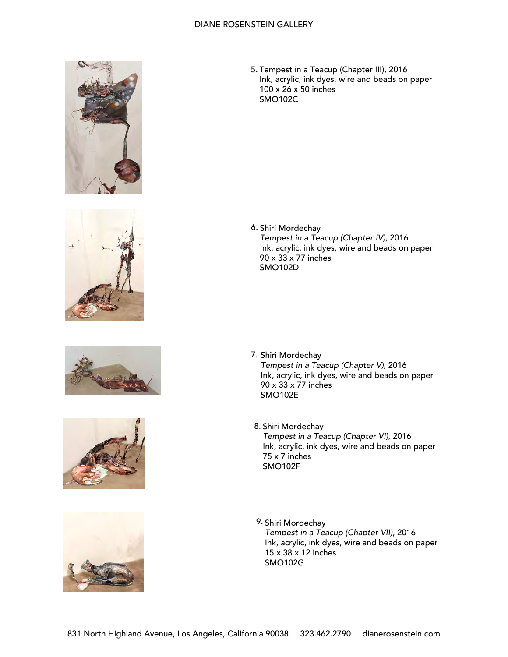









5. Tempest in a Teacup (Chapter III), 2016 Ink, acrylic, ink dyes, wire and beads on paper 100 x 26 x 50 inches SMO102C

6. Shiri Mordechay Tempest in a Teacup (Chapter IV), 2016 Ink, acrylic, ink dyes, wire and beads on paper 90 x 33 x 77 inches SMO102D

- 7. Shiri Mordechay Tempest in a Teacup (Chapter V), 2016 Ink, acrylic, ink dyes, wire and beads on paper 90 x 33 x 77 inches SMO102E
- Shiri Mordechay 8. Tempest in a Teacup (Chapter VI), 2016 Ink, acrylic, ink dyes, wire and beads on paper 75 x 7 inches SMO102F
- 9. Shiri Mordechay Tempest in a Teacup (Chapter VII), 2016 Ink, acrylic, ink dyes, wire and beads on paper 15 x 38 x 12 inches SMO102G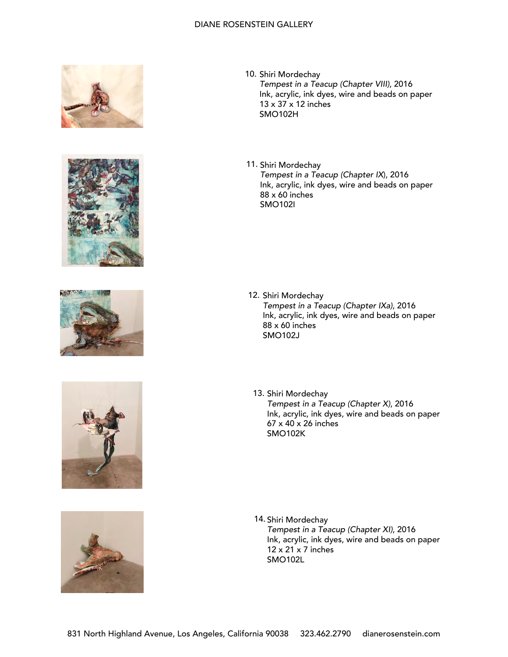









- 10. Shiri Mordechay Tempest in a Teacup (Chapter VIII), 2016 Ink, acrylic, ink dyes, wire and beads on paper 13 x 37 x 12 inches SMO102H
- 11. Shiri Mordechay Tempest in a Teacup (Chapter IX), 2016 Ink, acrylic, ink dyes, wire and beads on paper 88 x 60 inches SMO102I

- 12. Shiri Mordechay Tempest in a Teacup (Chapter IXa), 2016 Ink, acrylic, ink dyes, wire and beads on paper 88 x 60 inches SMO102J
- 13. Shiri Mordechay Tempest in a Teacup (Chapter X), 2016 Ink, acrylic, ink dyes, wire and beads on paper 67 x 40 x 26 inches SMO102K

14. Shiri Mordechay Tempest in a Teacup (Chapter XI), 2016 Ink, acrylic, ink dyes, wire and beads on paper  $12 \times 21 \times 7$  inches SMO102L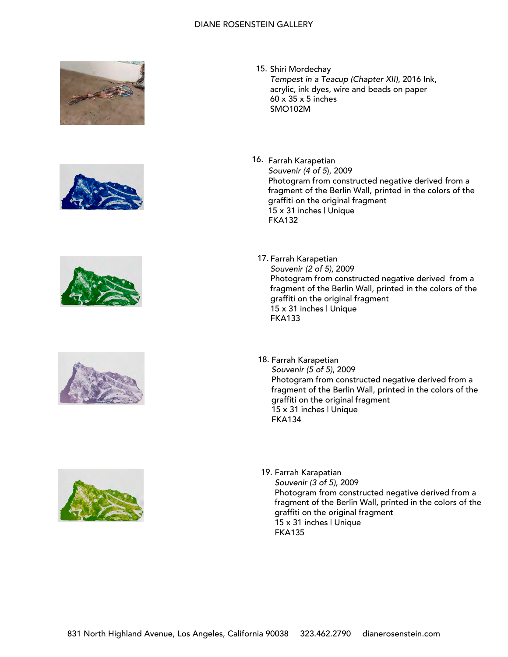









- 15. Shiri Mordechay Tempest in a Teacup (Chapter XII), 2016 Ink, acrylic, ink dyes, wire and beads on paper 60 x 35 x 5 inches SMO102M
- 16. Farrah Karapetian Souvenir (4 of 5), 2009 Photogram from constructed negative derived from a fragment of the Berlin Wall, printed in the colors of the graffiti on the original fragment 15 x 31 inches | Unique FKA132
	- 17. Farrah Karapetian Souvenir (2 of 5), 2009 Photogram from constructed negative derived from a fragment of the Berlin Wall, printed in the colors of the graffiti on the original fragment 15 x 31 inches | Unique FKA133
	- 18. Farrah Karapetian Souvenir (5 of 5), 2009 Photogram from constructed negative derived from a fragment of the Berlin Wall, printed in the colors of the graffiti on the original fragment 15 x 31 inches | Unique FKA134
	- 19. Farrah Karapatian Souvenir (3 of 5), 2009 Photogram from constructed negative derived from a fragment of the Berlin Wall, printed in the colors of the graffiti on the original fragment 15 x 31 inches | Unique FKA135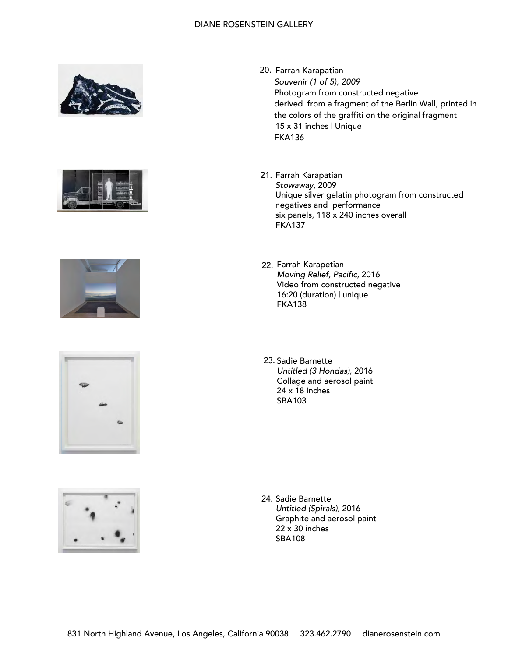









- 20. Farrah Karapatian Souvenir (1 of 5), 2009 Photogram from constructed negative derived from a fragment of the Berlin Wall, printed in the colors of the graffiti on the original fragment 15 x 31 inches | Unique FKA136
- 21. Farrah Karapatian Stowaway, 2009 Unique silver gelatin photogram from constructed negatives and performance six panels, 118 x 240 inches overall FKA137
- 22. Farrah Karapetian Moving Relief, Pacific, 2016 Video from constructed negative 16:20 (duration) | unique FKA138
- 23. Sadie Barnette Untitled (3 Hondas), 2016 Collage and aerosol paint 24 x 18 inches SBA103

24. Sadie Barnette Untitled (Spirals), 2016 Graphite and aerosol paint 22 x 30 inches SBA108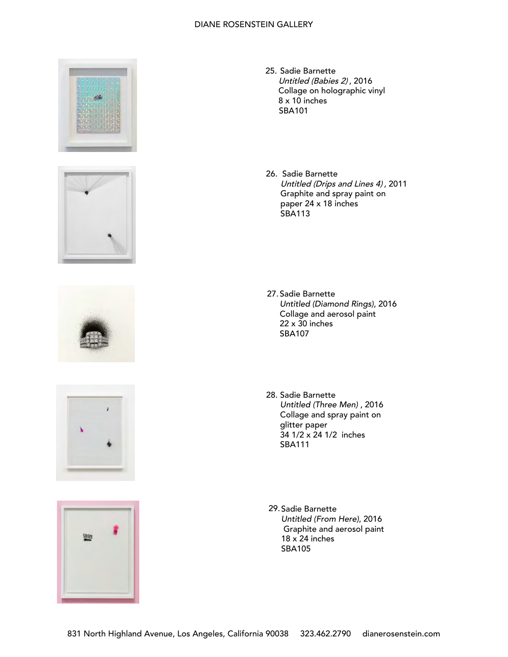









- 25. Sadie Barnette Untitled (Babies 2) , 2016 Collage on holographic vinyl 8 x 10 inches SBA101
- 26. Sadie Barnette Untitled (Drips and Lines 4) , 2011 Graphite and spray paint on paper 24 x 18 inches SBA113

- 27. Sadie Barnette Untitled (Diamond Rings), 2016 Collage and aerosol paint 22 x 30 inches SBA107
- 28. Sadie Barnette Untitled (Three Men) , 2016 Collage and spray paint on glitter paper 34 1/2 x 24 1/2 inches SBA111
- 29. Sadie Barnette Untitled (From Here), 2016 Graphite and aerosol paint  $18 \times 24$  inches SBA105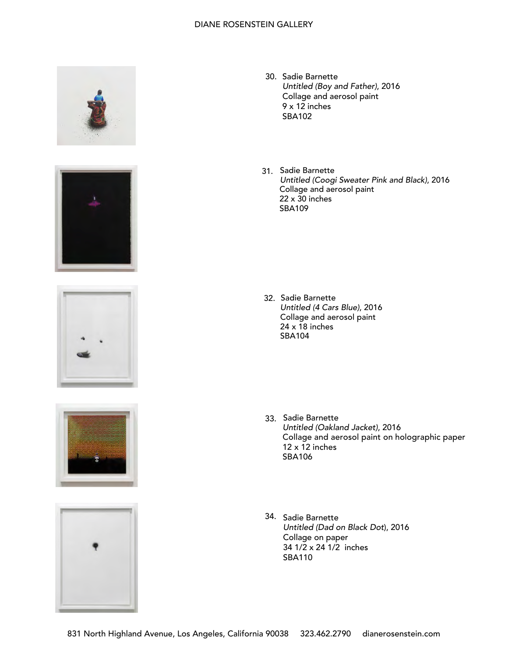









- 30. Sadie Barnette Untitled (Boy and Father), 2016 Collage and aerosol paint 9 x 12 inches SBA102
- 31. Sadie Barnette Untitled (Coogi Sweater Pink and Black), 2016 Collage and aerosol paint  $22 \times 30$  inches SBA109

32. Sadie Barnette Untitled (4 Cars Blue), 2016 Collage and aerosol paint 24 x 18 inches SBA104

- 33. Sadie Barnette Untitled (Oakland Jacket), 2016 Collage and aerosol paint on holographic paper  $12 \times 12$  inches SBA106
- Sadie Barnette 34.Untitled (Dad on Black Dot), 2016 Collage on paper 34 1/2 x 24 1/2 inches SBA110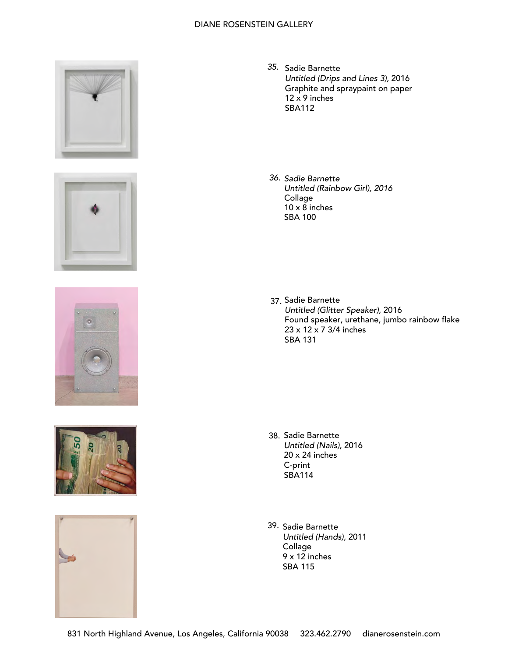









- 35. Sadie Barnette Untitled (Drips and Lines 3), 2016 Graphite and spraypaint on paper 12 x 9 inches SBA112
- 36. Sadie Barnette Untitled (Rainbow Girl), 2016 Collage  $10 \times 8$  inches SBA 100

37. Sadie Barnette Untitled (Glitter Speaker), 2016 Found speaker, urethane, jumbo rainbow flake 23 x 12 x 7 3/4 inches SBA 131

- 38. Sadie Barnette Untitled (Nails), 2016 20 x 24 inches C-print SBA114
- 39. Sadie Barnette Untitled (Hands), 2011 Collage 9 x 12 inches SBA 115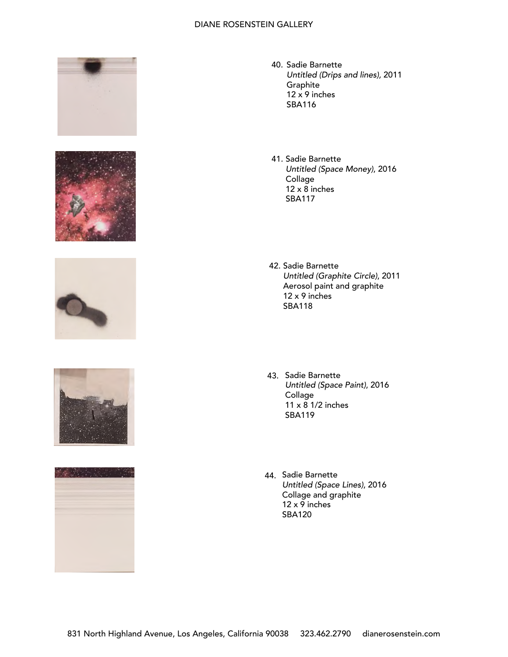









- 40. Sadie Barnette *Untitled (Drips and lines)*, 2011 Graphite  $12 \times 9$  inches SBA116
- 41. Sadie Barnette *Untitled (Space Money)*, 2016 Collage  $12 \times 8$  inches SBA117
- 42. Sadie Barnette Untitled (Graphite Circle), 2011 Aerosol paint and graphite 12 x 9 inches SBA118
- 43. Sadie Barnette *Untitled (Space Paint)*, 2016 Collage 11 x 8 1/2 inches SBA119
- 44. Sadie Barnette Untitled (Space Lines), 2016 Collage and graphite  $12 \times 9$  inches SBA120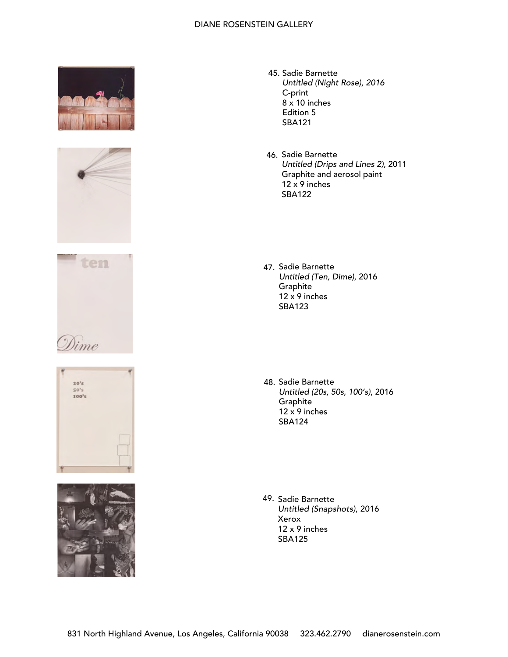









- 45. Sadie Barnette Untitled (Night Rose), 2016 C-print 8 x 10 inches Edition 5 SBA121
- 46. Sadie Barnette Untitled (Drips and Lines 2), 2011 Graphite and aerosol paint  $12 \times 9$  inches SBA122
- 47. Sadie Barnette *Untitled (Ten,* D*ime)*, 2016 Graphite  $12 \times 9$  inches SBA123
- 48. Sadie Barnette *Untitled (20s, 50s, 100's)*, 2016 **Graphite**  $12 \times 9$  inches SBA124

49. Sadie Barnette Untitled (Snapshots), 2016 Xerox 12 x 9 inches SBA125